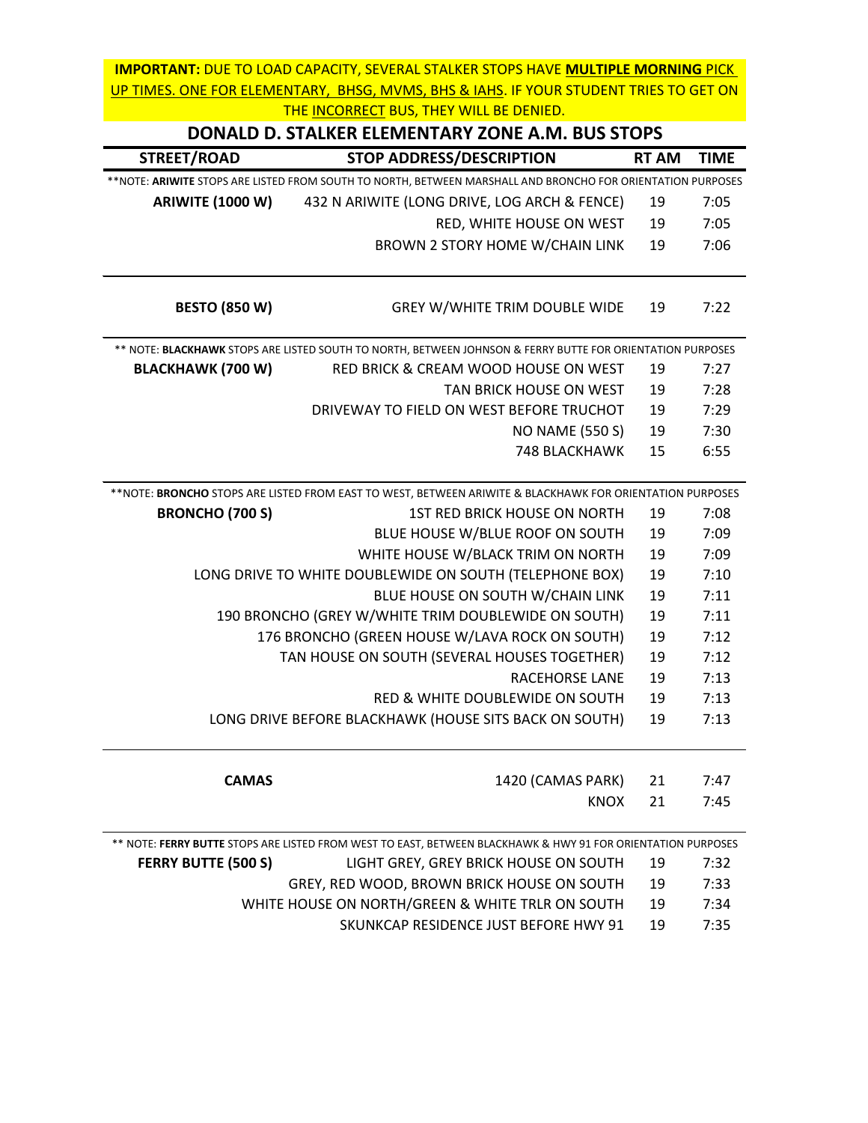| DONALD D. STALKER ELEMENTARY ZONE A.M. BUS STOPS |                                                                                                                    |              |             |
|--------------------------------------------------|--------------------------------------------------------------------------------------------------------------------|--------------|-------------|
| STREET/ROAD                                      | <b>STOP ADDRESS/DESCRIPTION</b>                                                                                    | <b>RT AM</b> | <b>TIME</b> |
|                                                  | **NOTE: <b>ARIWITE</b> STOPS ARE LISTED FROM SOUTH TO NORTH, BETWEEN MARSHALL AND BRONCHO FOR ORIENTATION PURPOSES |              |             |
| <b>ARIWITE (1000 W)</b>                          | 432 N ARIWITE (LONG DRIVE, LOG ARCH & FENCE)                                                                       | -19          | 7:05        |
|                                                  | RED, WHITE HOUSE ON WEST                                                                                           | -19          | 7:05        |
|                                                  | BROWN 2 STORY HOME W/CHAIN LINK                                                                                    | -19          | 7:06        |
|                                                  |                                                                                                                    |              |             |

| <b>BESTO (850 W)</b>                                                                                       | GREY W/WHITE TRIM DOUBLE WIDE                                                                                   | 19 | 7:22 |
|------------------------------------------------------------------------------------------------------------|-----------------------------------------------------------------------------------------------------------------|----|------|
| ** NOTE: BLACKHAWK STOPS ARE LISTED SOUTH TO NORTH, BETWEEN JOHNSON & FERRY BUTTE FOR ORIENTATION PURPOSES |                                                                                                                 |    |      |
| <b>BLACKHAWK (700 W)</b>                                                                                   | RED BRICK & CREAM WOOD HOUSE ON WEST                                                                            | 19 | 7:27 |
|                                                                                                            | TAN BRICK HOUSE ON WEST                                                                                         | 19 | 7:28 |
|                                                                                                            | DRIVEWAY TO FIELD ON WEST BEFORE TRUCHOT                                                                        | 19 | 7:29 |
|                                                                                                            | <b>NO NAME (550 S)</b>                                                                                          | 19 | 7:30 |
|                                                                                                            | 748 BLACKHAWK                                                                                                   | 15 | 6:55 |
|                                                                                                            | **NOTE: <b>BRONCHO</b> STOPS ARE LISTED FROM EAST TO WEST, BETWEEN ARIWITE & BLACKHAWK FOR ORIENTATION PURPOSES |    |      |
| <b>BRONCHO (700 S)</b>                                                                                     | 1ST RED BRICK HOUSE ON NORTH                                                                                    | 19 | 7:08 |
|                                                                                                            | BLUE HOUSE W/BLUE ROOF ON SOUTH                                                                                 | 19 | 7:09 |
|                                                                                                            | WHITE HOUSE W/BLACK TRIM ON NORTH                                                                               | 19 | 7:09 |
|                                                                                                            | LONG DRIVE TO WHITE DOUBLEWIDE ON SOUTH (TELEPHONE BOX)                                                         | 19 | 7:10 |
| BLUE HOUSE ON SOUTH W/CHAIN LINK                                                                           |                                                                                                                 | 19 | 7:11 |
| 190 BRONCHO (GREY W/WHITE TRIM DOUBLEWIDE ON SOUTH)                                                        |                                                                                                                 | 19 | 7:11 |
|                                                                                                            | 176 BRONCHO (GREEN HOUSE W/LAVA ROCK ON SOUTH)                                                                  | 19 | 7:12 |
|                                                                                                            | TAN HOUSE ON SOUTH (SEVERAL HOUSES TOGETHER)                                                                    | 19 | 7:12 |
|                                                                                                            | RACEHORSE LANE                                                                                                  | 19 | 7:13 |
|                                                                                                            | RED & WHITE DOUBLEWIDE ON SOUTH                                                                                 | 19 | 7:13 |
|                                                                                                            | LONG DRIVE BEFORE BLACKHAWK (HOUSE SITS BACK ON SOUTH)                                                          | 19 | 7:13 |
|                                                                                                            |                                                                                                                 |    |      |
|                                                                                                            |                                                                                                                 |    |      |
| <b>CAMAS</b>                                                                                               | 1420 (CAMAS PARK)                                                                                               | 21 | 7:47 |
|                                                                                                            | <b>KNOX</b>                                                                                                     | 21 | 7:45 |
|                                                                                                            | ** NOTE: FERRY BUTTE STOPS ARE LISTED FROM WEST TO EAST, BETWEEN BLACKHAWK & HWY 91 FOR ORIENTATION PURPOSES    |    |      |
| <b>FERRY BUTTE (500 S)</b>                                                                                 | LIGHT GREY, GREY BRICK HOUSE ON SOUTH                                                                           | 19 | 7:32 |
|                                                                                                            | GREY, RED WOOD, BROWN BRICK HOUSE ON SOUTH                                                                      | 19 | 7:33 |
|                                                                                                            | WHITE HOUSE ON NORTH/GREEN & WHITE TRLR ON SOUTH                                                                | 19 | 7:34 |

SKUNKCAP RESIDENCE JUST BEFORE HWY 91 19 7:35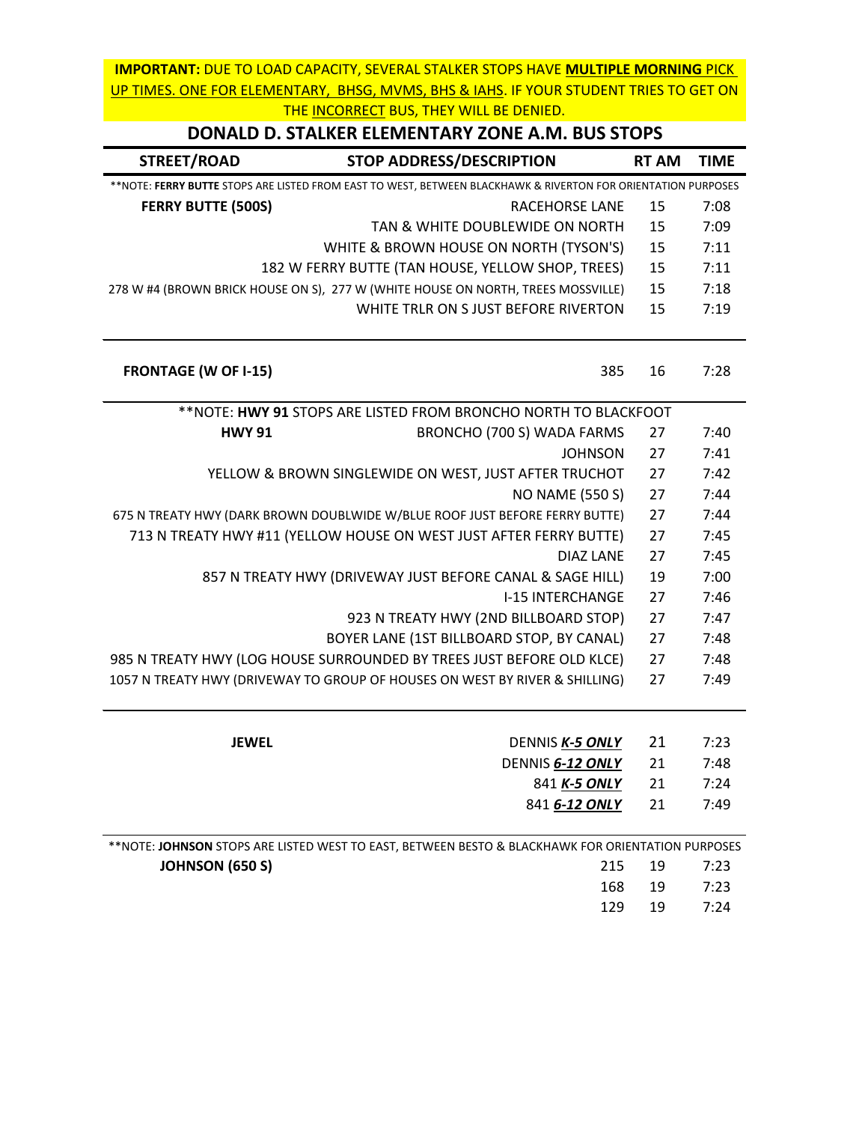| DONALD D. STALKER ELEMENTARY ZONE A.M. BUS STOPS |  |
|--------------------------------------------------|--|

| STREET/ROAD                 | <b>STOP ADDRESS/DESCRIPTION</b>                                                                                | <b>RT AM</b> | <b>TIME</b> |
|-----------------------------|----------------------------------------------------------------------------------------------------------------|--------------|-------------|
|                             | ** NOTE: FERRY BUTTE STOPS ARE LISTED FROM EAST TO WEST, BETWEEN BLACKHAWK & RIVERTON FOR ORIENTATION PURPOSES |              |             |
| <b>FERRY BUTTE (500S)</b>   | RACEHORSE LANE                                                                                                 | 15           | 7:08        |
|                             | TAN & WHITE DOUBLEWIDE ON NORTH                                                                                | 15           | 7:09        |
|                             | WHITE & BROWN HOUSE ON NORTH (TYSON'S)                                                                         | 15           | 7:11        |
|                             | 182 W FERRY BUTTE (TAN HOUSE, YELLOW SHOP, TREES)                                                              | 15           | 7:11        |
|                             | 278 W #4 (BROWN BRICK HOUSE ON S), 277 W (WHITE HOUSE ON NORTH, TREES MOSSVILLE)                               | 15           | 7:18        |
|                             | WHITE TRLR ON S JUST BEFORE RIVERTON                                                                           | 15           | 7:19        |
| <b>FRONTAGE (W OF I-15)</b> | 385                                                                                                            | 16           | 7:28        |
|                             | ** NOTE: HWY 91 STOPS ARE LISTED FROM BRONCHO NORTH TO BLACKFOOT                                               |              |             |
| <b>HWY 91</b>               | BRONCHO (700 S) WADA FARMS                                                                                     | 27           | 7:40        |
|                             | <b>JOHNSON</b>                                                                                                 | 27           | 7:41        |
|                             | YELLOW & BROWN SINGLEWIDE ON WEST, JUST AFTER TRUCHOT                                                          | 27           | 7:42        |
|                             | <b>NO NAME (550 S)</b>                                                                                         | 27           | 7:44        |
|                             | 675 N TREATY HWY (DARK BROWN DOUBLWIDE W/BLUE ROOF JUST BEFORE FERRY BUTTE)                                    | 27           | 7:44        |
|                             | 713 N TREATY HWY #11 (YELLOW HOUSE ON WEST JUST AFTER FERRY BUTTE)                                             | 27           | 7:45        |
|                             | <b>DIAZ LANE</b>                                                                                               | 27           | 7:45        |
|                             | 857 N TREATY HWY (DRIVEWAY JUST BEFORE CANAL & SAGE HILL)                                                      | 19           | 7:00        |
|                             | <b>I-15 INTERCHANGE</b>                                                                                        | 27           | 7:46        |
|                             | 923 N TREATY HWY (2ND BILLBOARD STOP)                                                                          | 27           | 7:47        |
|                             | BOYER LANE (1ST BILLBOARD STOP, BY CANAL)                                                                      | 27           | 7:48        |
|                             | 985 N TREATY HWY (LOG HOUSE SURROUNDED BY TREES JUST BEFORE OLD KLCE)                                          | 27           | 7:48        |
|                             | 1057 N TREATY HWY (DRIVEWAY TO GROUP OF HOUSES ON WEST BY RIVER & SHILLING)                                    | 27           | 7:49        |
| <b>JEWEL</b>                | DENNIS K-5 ONLY                                                                                                | 21           | 7:23        |
|                             | DENNIS 6-12 ONLY                                                                                               | 21           | 7:48        |
|                             | 841 K-5 ONLY                                                                                                   | 21           | 7:24        |
|                             | 841 6-12 ONLY                                                                                                  | 21           | 7:49        |
|                             | ** NOTE: JOHNSON STOPS ARE LISTED WEST TO EAST, BETWEEN BESTO & BLACKHAWK FOR ORIENTATION PURPOSES             |              |             |
| <b>JOHNSON (650 S)</b>      | 215                                                                                                            | 19           | 7:23        |

168 19 7:23 129 19 7:24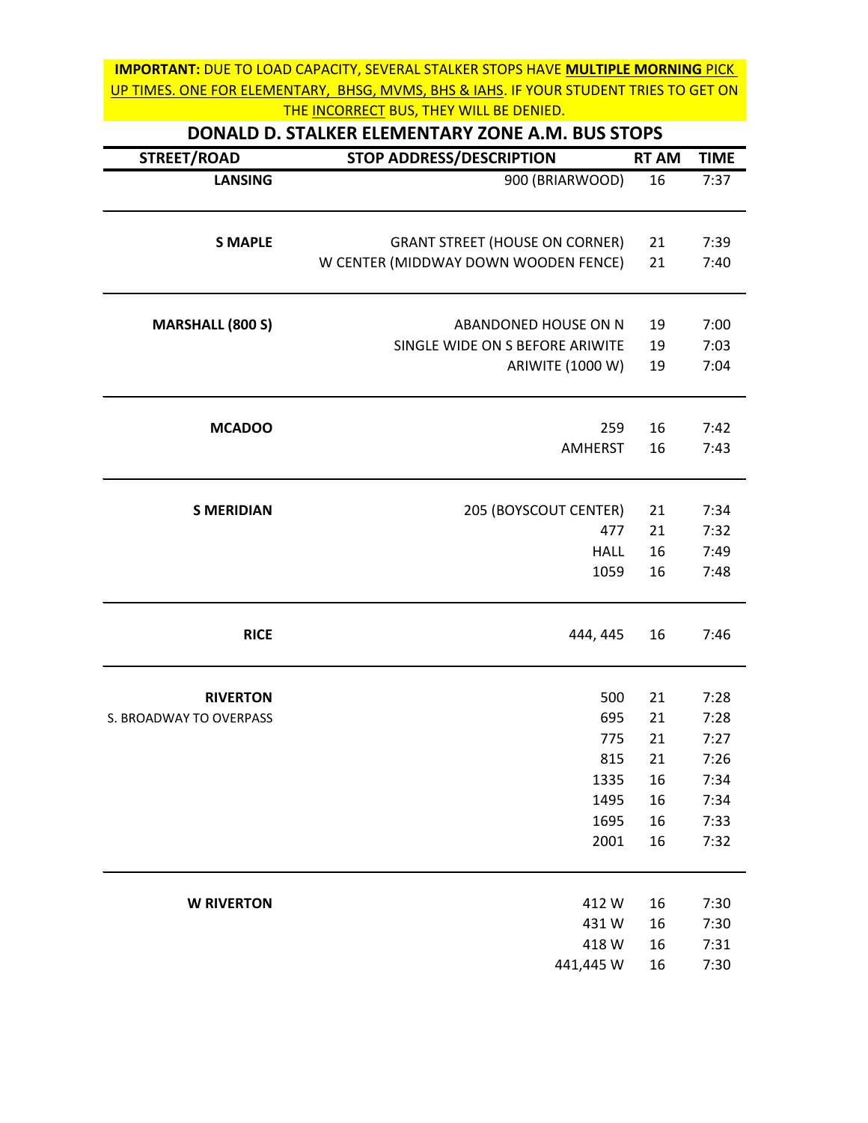| DONALD D. STALKER ELEMENTARY ZONE A.M. BUS STOPS |                                       |              |             |
|--------------------------------------------------|---------------------------------------|--------------|-------------|
| STREET/ROAD                                      | <b>STOP ADDRESS/DESCRIPTION</b>       | <b>RT AM</b> | <b>TIME</b> |
| <b>LANSING</b>                                   | 900 (BRIARWOOD)                       | 16           | 7:37        |
| <b>S MAPLE</b>                                   | <b>GRANT STREET (HOUSE ON CORNER)</b> | 21           | 7:39        |
|                                                  | W CENTER (MIDDWAY DOWN WOODEN FENCE)  | 21           | 7:40        |
| <b>MARSHALL (800 S)</b>                          | ABANDONED HOUSE ON N                  | 19           | 7:00        |
|                                                  | SINGLE WIDE ON S BEFORE ARIWITE       | 19           | 7:03        |
|                                                  | ARIWITE (1000 W)                      | 19           | 7:04        |
| <b>MCADOO</b>                                    | 259                                   | 16           | 7:42        |
|                                                  | <b>AMHERST</b>                        | 16           | 7:43        |
| <b>S MERIDIAN</b>                                | 205 (BOYSCOUT CENTER)                 | 21           | 7:34        |
|                                                  | 477                                   | 21           | 7:32        |
|                                                  | <b>HALL</b>                           | 16           | 7:49        |
|                                                  | 1059                                  | 16           | 7:48        |
| <b>RICE</b>                                      | 444, 445                              | 16           | 7:46        |
| <b>RIVERTON</b>                                  | 500                                   | 21           | 7:28        |
| S. BROADWAY TO OVERPASS                          | 695                                   | 21           | 7:28        |
|                                                  | 775                                   | 21           | 7:27        |
|                                                  | 815                                   | 21           | 7:26        |
|                                                  | 1335                                  | 16           | 7:34        |
|                                                  | 1495                                  | 16           | 7:34        |
|                                                  | 1695                                  | 16           | 7:33        |
|                                                  | 2001                                  | 16           | 7:32        |
| <b>W RIVERTON</b>                                | 412W                                  | 16           | 7:30        |
|                                                  | 431W                                  | 16           | 7:30        |
|                                                  | 418 W                                 | 16           | 7:31        |
|                                                  | 441,445 W                             | 16           | 7:30        |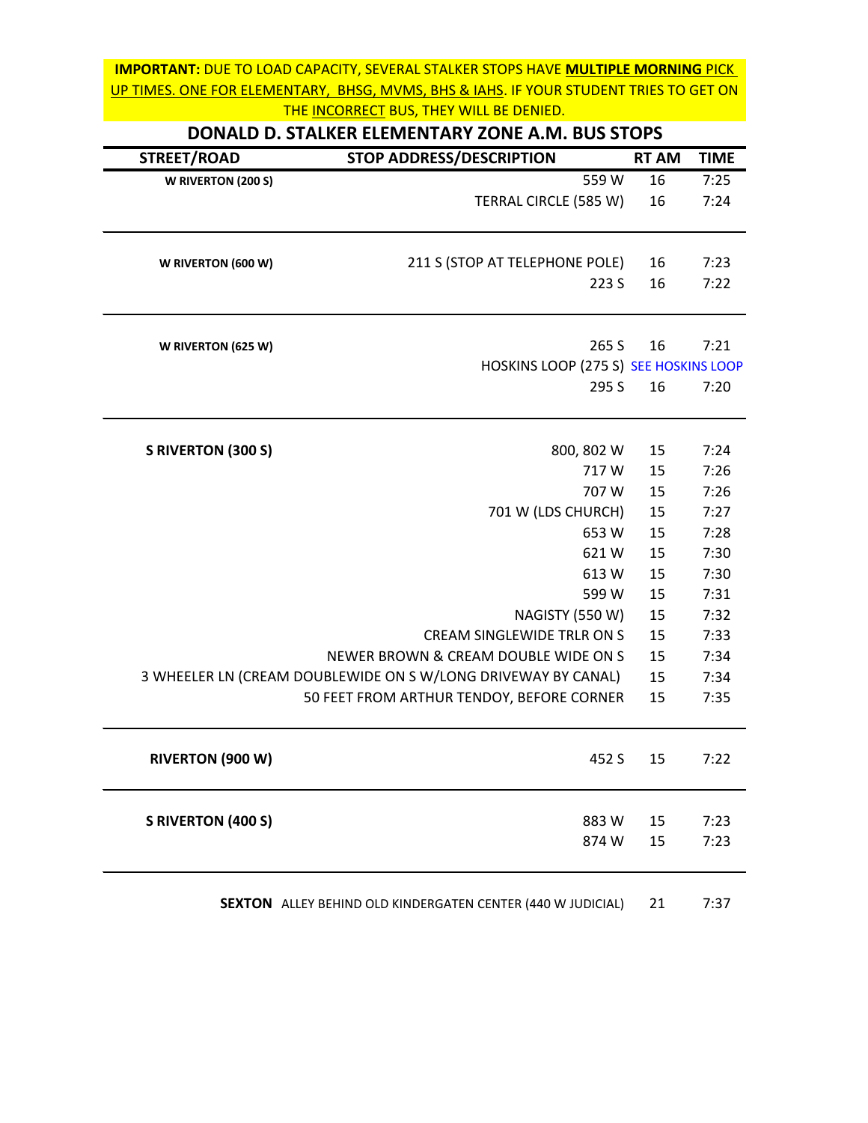|                           | DONALD D. STALKER ELEMENTARY ZONE A.M. BUS STOPS              |              |             |
|---------------------------|---------------------------------------------------------------|--------------|-------------|
| STREET/ROAD               | <b>STOP ADDRESS/DESCRIPTION</b>                               | <b>RT AM</b> | <b>TIME</b> |
| W RIVERTON (200 S)        | 559 W                                                         | 16           | 7:25        |
|                           | TERRAL CIRCLE (585 W)                                         | 16           | 7:24        |
| W RIVERTON (600 W)        | 211 S (STOP AT TELEPHONE POLE)                                | 16           | 7:23        |
|                           | 223 S                                                         | 16           | 7:22        |
| W RIVERTON (625 W)        | 265 S                                                         | 16           | 7:21        |
|                           | HOSKINS LOOP (275 S) SEE HOSKINS LOOP                         |              |             |
|                           | 295 S                                                         | 16           | 7:20        |
| <b>S RIVERTON (300 S)</b> | 800, 802 W                                                    | 15           | 7:24        |
|                           | 717W                                                          | 15           | 7:26        |
|                           | 707 W                                                         | 15           | 7:26        |
|                           | 701 W (LDS CHURCH)                                            | 15           | 7:27        |
|                           | 653 W                                                         | 15           | 7:28        |
|                           | 621W                                                          | 15           | 7:30        |
|                           | 613W                                                          | 15           | 7:30        |
|                           | 599 W                                                         | 15           | 7:31        |
|                           | NAGISTY (550 W)                                               | 15           | 7:32        |
|                           | CREAM SINGLEWIDE TRLR ON S                                    | 15           | 7:33        |
|                           | NEWER BROWN & CREAM DOUBLE WIDE ON S                          | 15           | 7:34        |
|                           | 3 WHEELER LN (CREAM DOUBLEWIDE ON S W/LONG DRIVEWAY BY CANAL) | 15           | 7:34        |
|                           | 50 FEET FROM ARTHUR TENDOY, BEFORE CORNER                     | 15           | 7:35        |
| RIVERTON (900 W)          | 452 S                                                         | 15           | 7:22        |
| <b>S RIVERTON (400 S)</b> | 883W                                                          | 15           | 7:23        |
|                           | 874W                                                          | 15           | 7:23        |

**SEXTON** ALLEY BEHIND OLD KINDERGATEN CENTER (440 W JUDICIAL) 21 7:37